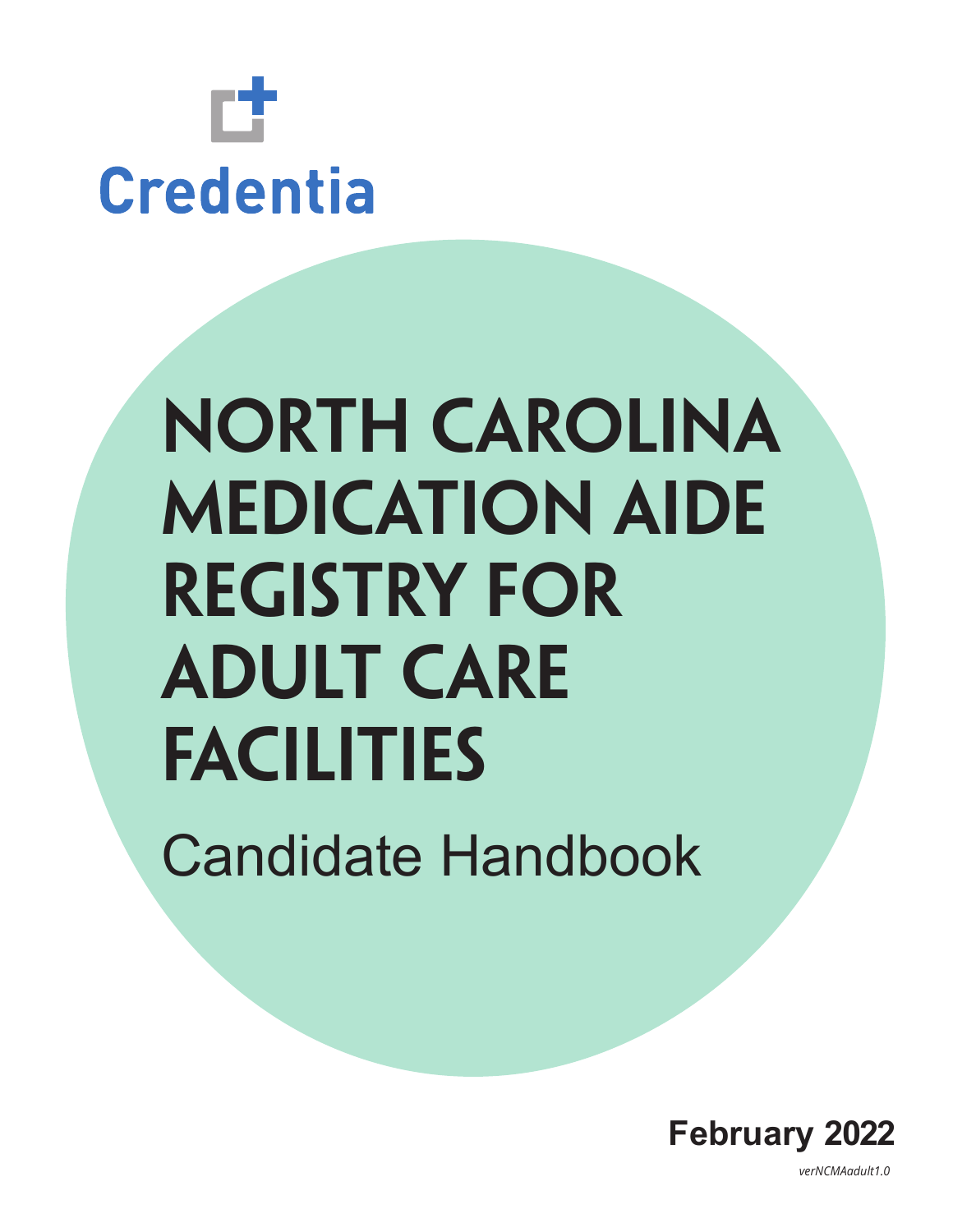

# **North Carolina Medication Aide Registry for Adult Care Facilities**

Candidate Handbook



*verNCMAadult1.0*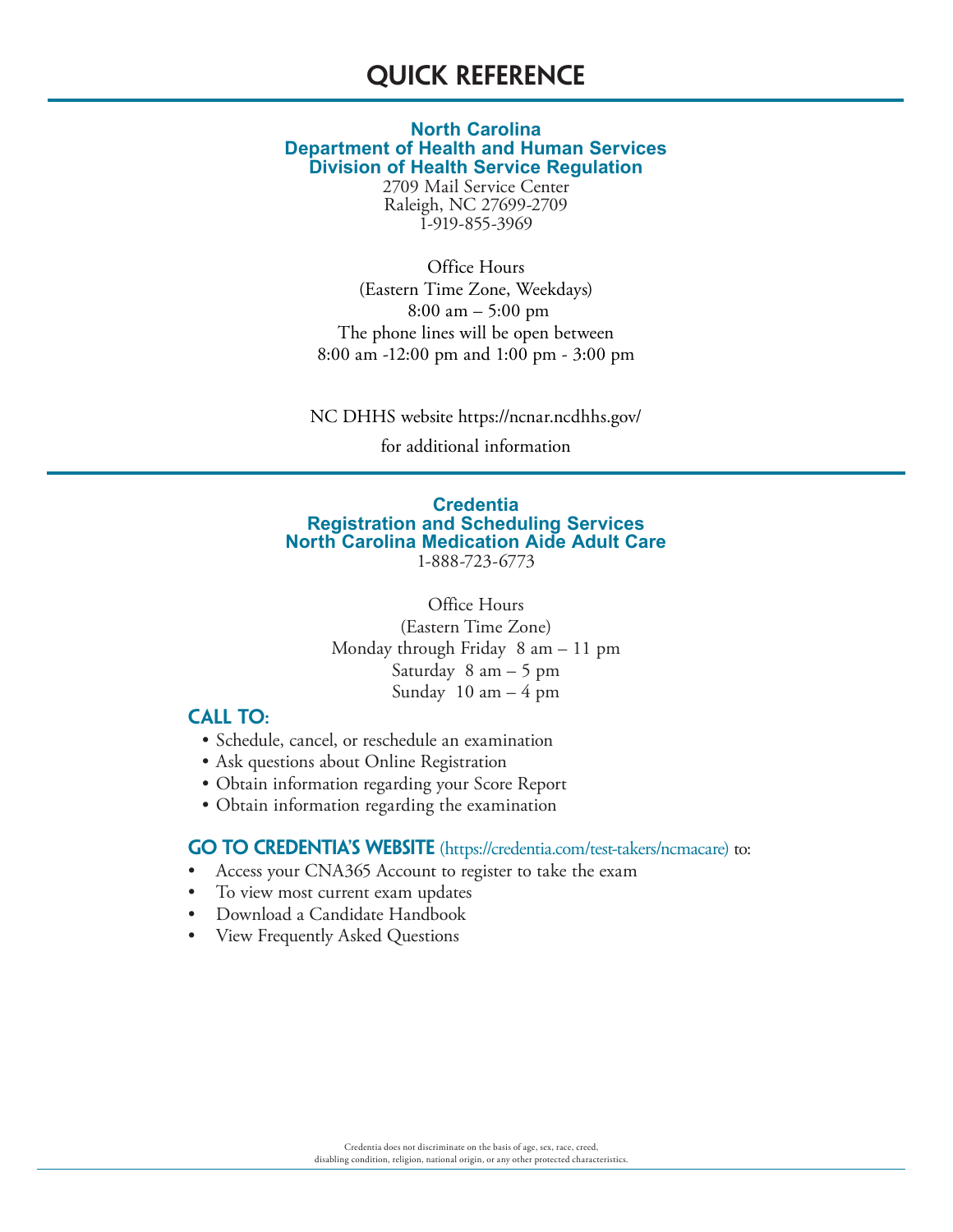# **Quick Reference**

#### **North Carolina Department of Health and Human Services Division of Health Service Regulation**

2709 Mail Service Center Raleigh, NC 27699-2709 1-919-855-3969

Office Hours (Eastern Time Zone, Weekdays) 8:00 am – 5:00 pm The phone lines will be open between 8:00 am -12:00 pm and 1:00 pm - 3:00 pm

NC DHHS website https://ncnar.ncdhhs.gov/

for additional information

#### **Credentia Registration and Scheduling Services North Carolina Medication Aide Adult Care** 1-888-723-6773

Office Hours (Eastern Time Zone) Monday through Friday 8 am – 11 pm Saturday 8 am – 5 pm Sunday  $10 \text{ am} - 4 \text{ pm}$ 

### **Call to:**

- Schedule, cancel, or reschedule an examination
- Ask questions about Online Registration
- Obtain information regarding your Score Report
- Obtain information regarding the examination

#### **GO TO CREDENTIA'S WEBSITE** (https://credentia.com/test-takers/ncmacare) to:

- Access your CNA365 Account to register to take the exam
- To view most current exam updates
- Download a Candidate Handbook
- View Frequently Asked Questions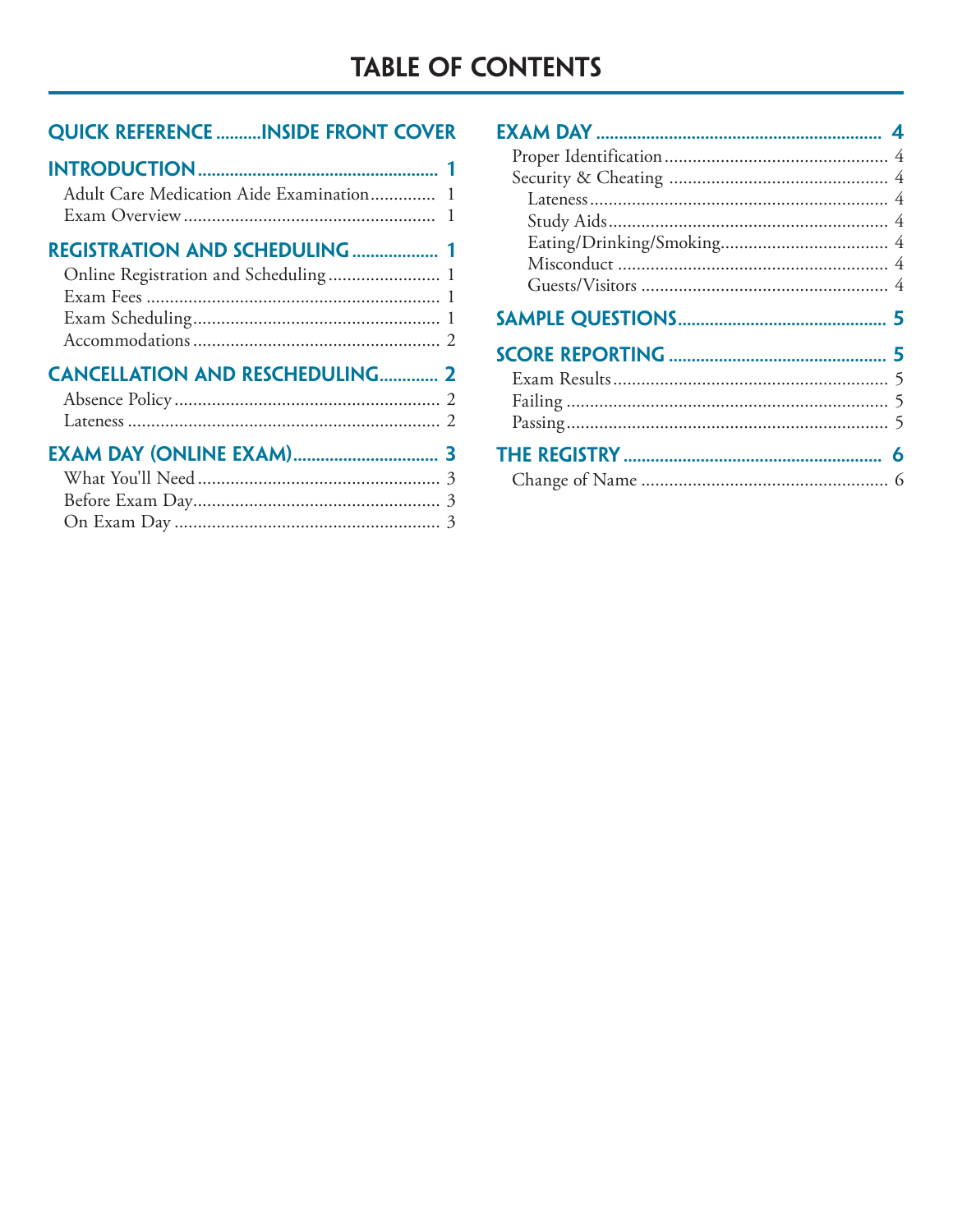# **TABLE OF CONTENTS**

# **QUICK REFERENCE ..........INSIDE FRONT COVER**

| Adult Care Medication Aide Examination 1 |  |
|------------------------------------------|--|
|                                          |  |
| <b>DECICED ATIONI ANID CCUEDI ILINIC</b> |  |

| <b>REGISTRATION AND SCHEDULING 1</b> |  |
|--------------------------------------|--|
|                                      |  |
|                                      |  |
|                                      |  |
|                                      |  |
|                                      |  |

| <b>CANCELLATION AND RESCHEDULING 2</b> |  |
|----------------------------------------|--|
|                                        |  |
|                                        |  |
|                                        |  |
|                                        |  |
|                                        |  |

| 5 |
|---|
|   |
|   |
|   |
|   |
| 6 |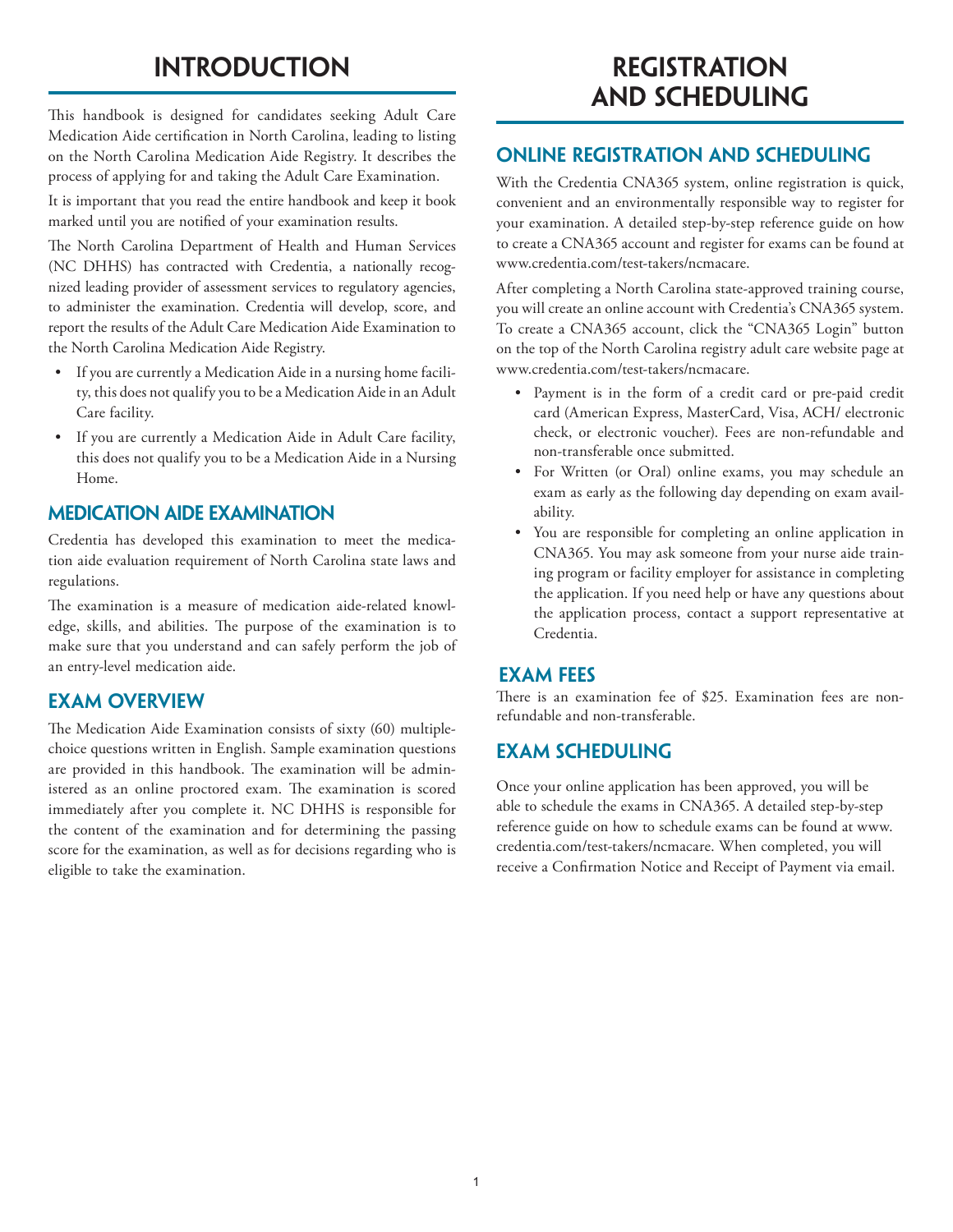# **Introduction**

This handbook is designed for candidates seeking Adult Care Medication Aide certification in North Carolina, leading to listing on the North Carolina Medication Aide Registry. It describes the process of applying for and taking the Adult Care Examination.

It is important that you read the entire handbook and keep it book marked until you are notified of your examination results.

The North Carolina Department of Health and Human Services (NC DHHS) has contracted with Credentia, a nationally recognized leading provider of assessment services to regulatory agencies, to administer the examination. Credentia will develop, score, and report the results of the Adult Care Medication Aide Examination to the North Carolina Medication Aide Registry.

- If you are currently a Medication Aide in a nursing home facility, this does not qualify you to be a Medication Aide in an Adult Care facility.
- If you are currently a Medication Aide in Adult Care facility, this does not qualify you to be a Medication Aide in a Nursing Home.

# **Medication Aide Examination**

Credentia has developed this examination to meet the medication aide evaluation requirement of North Carolina state laws and regulations.

The examination is a measure of medication aide-related knowledge, skills, and abilities. The purpose of the examination is to make sure that you understand and can safely perform the job of an entry-level medication aide.

## **Exam Overview**

The Medication Aide Examination consists of sixty (60) multiplechoice questions written in English. Sample examination questions are provided in this handbook. The examination will be administered as an online proctored exam. The examination is scored immediately after you complete it. NC DHHS is responsible for the content of the examination and for determining the passing score for the examination, as well as for decisions regarding who is eligible to take the examination.

# **REGISTRATION and Scheduling**

## **Online Registration and Scheduling**

With the Credentia CNA365 system, online registration is quick, convenient and an environmentally responsible way to register for your examination. A detailed step-by-step reference guide on how to create a CNA365 account and register for exams can be found at www.credentia.com/test-takers/ncmacare.

After completing a North Carolina state-approved training course, you will create an online account with Credentia's CNA365 system. To create a CNA365 account, click the "CNA365 Login" button on the top of the North Carolina registry adult care website page at www.credentia.com/test-takers/ncmacare.

- Payment is in the form of a credit card or pre-paid credit card (American Express, MasterCard, Visa, ACH/ electronic check, or electronic voucher). Fees are non-refundable and non-transferable once submitted.
- For Written (or Oral) online exams, you may schedule an exam as early as the following day depending on exam availability.
- You are responsible for completing an online application in CNA365. You may ask someone from your nurse aide training program or facility employer for assistance in completing the application. If you need help or have any questions about the application process, contact a support representative at Credentia.

## **Exam Fees**

There is an examination fee of \$25. Examination fees are nonrefundable and non-transferable.

# **Exam Scheduling**

Once your online application has been approved, you will be able to schedule the exams in CNA365. A detailed step-by-step reference guide on how to schedule exams can be found at www. credentia.com/test-takers/ncmacare. When completed, you will receive a Confirmation Notice and Receipt of Payment via email.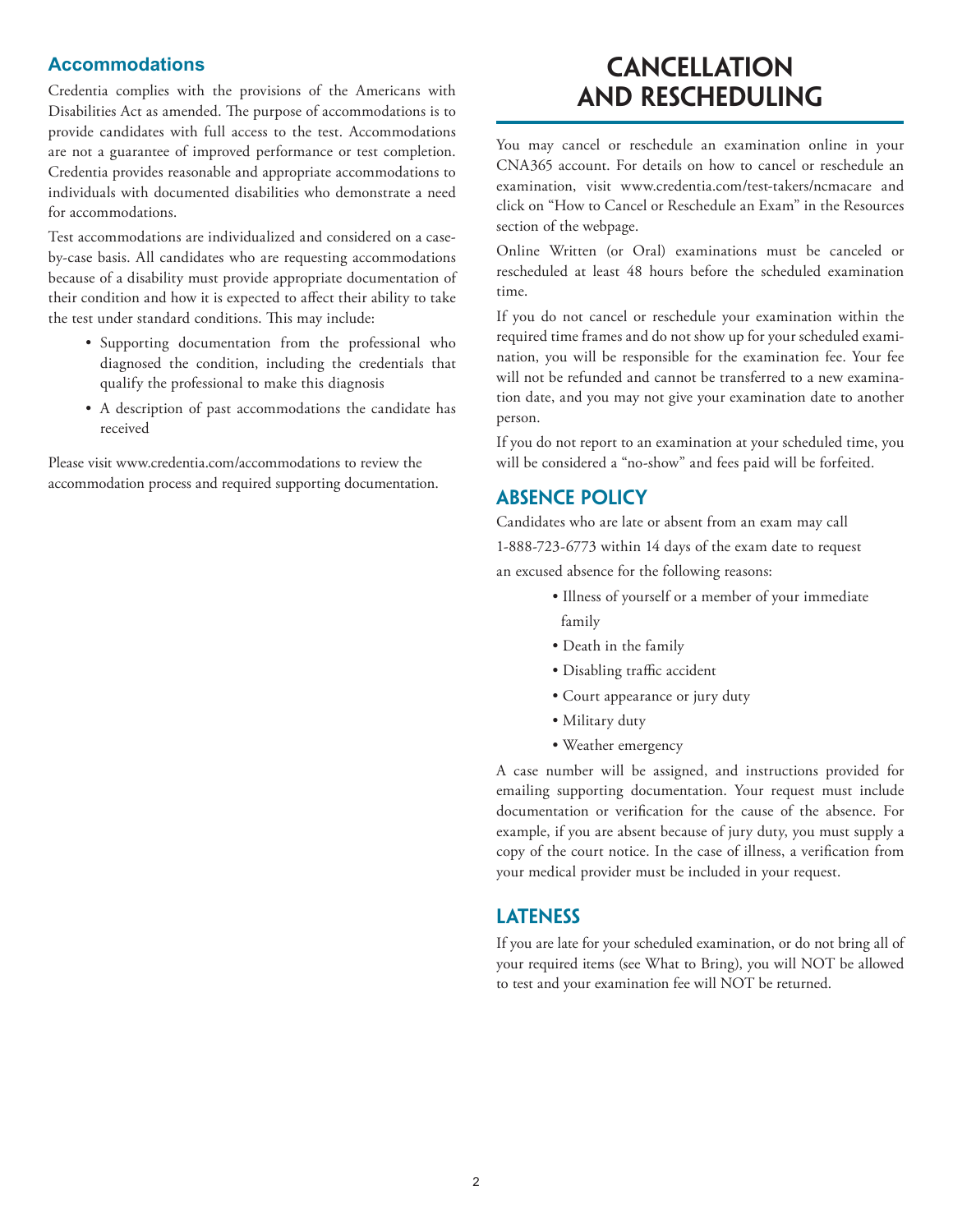#### **Accommodations**

Credentia complies with the provisions of the Americans with Disabilities Act as amended. The purpose of accommodations is to provide candidates with full access to the test. Accommodations are not a guarantee of improved performance or test completion. Credentia provides reasonable and appropriate accommodations to individuals with documented disabilities who demonstrate a need for accommodations.

Test accommodations are individualized and considered on a caseby-case basis. All candidates who are requesting accommodations because of a disability must provide appropriate documentation of their condition and how it is expected to affect their ability to take the test under standard conditions. This may include:

- Supporting documentation from the professional who diagnosed the condition, including the credentials that qualify the professional to make this diagnosis
- A description of past accommodations the candidate has received

Please visit www.credentia.com/accommodations to review the accommodation process and required supporting documentation.

# **Cancellation and Rescheduling**

You may cancel or reschedule an examination online in your CNA365 account. For details on how to cancel or reschedule an examination, visit www.credentia.com/test-takers/ncmacare and click on "How to Cancel or Reschedule an Exam" in the Resources section of the webpage.

Online Written (or Oral) examinations must be canceled or rescheduled at least 48 hours before the scheduled examination time.

If you do not cancel or reschedule your examination within the required time frames and do not show up for your scheduled examination, you will be responsible for the examination fee. Your fee will not be refunded and cannot be transferred to a new examination date, and you may not give your examination date to another person.

If you do not report to an examination at your scheduled time, you will be considered a "no-show" and fees paid will be forfeited.

## **Absence Policy**

Candidates who are late or absent from an exam may call 1-888-723-6773 within 14 days of the exam date to request an excused absence for the following reasons:

- Illness of yourself or a member of your immediate family
- Death in the family
- Disabling traffic accident
- Court appearance or jury duty
- Military duty
- Weather emergency

A case number will be assigned, and instructions provided for emailing supporting documentation. Your request must include documentation or verification for the cause of the absence. For example, if you are absent because of jury duty, you must supply a copy of the court notice. In the case of illness, a verification from your medical provider must be included in your request.

## **Lateness**

If you are late for your scheduled examination, or do not bring all of your required items (see What to Bring), you will NOT be allowed to test and your examination fee will NOT be returned.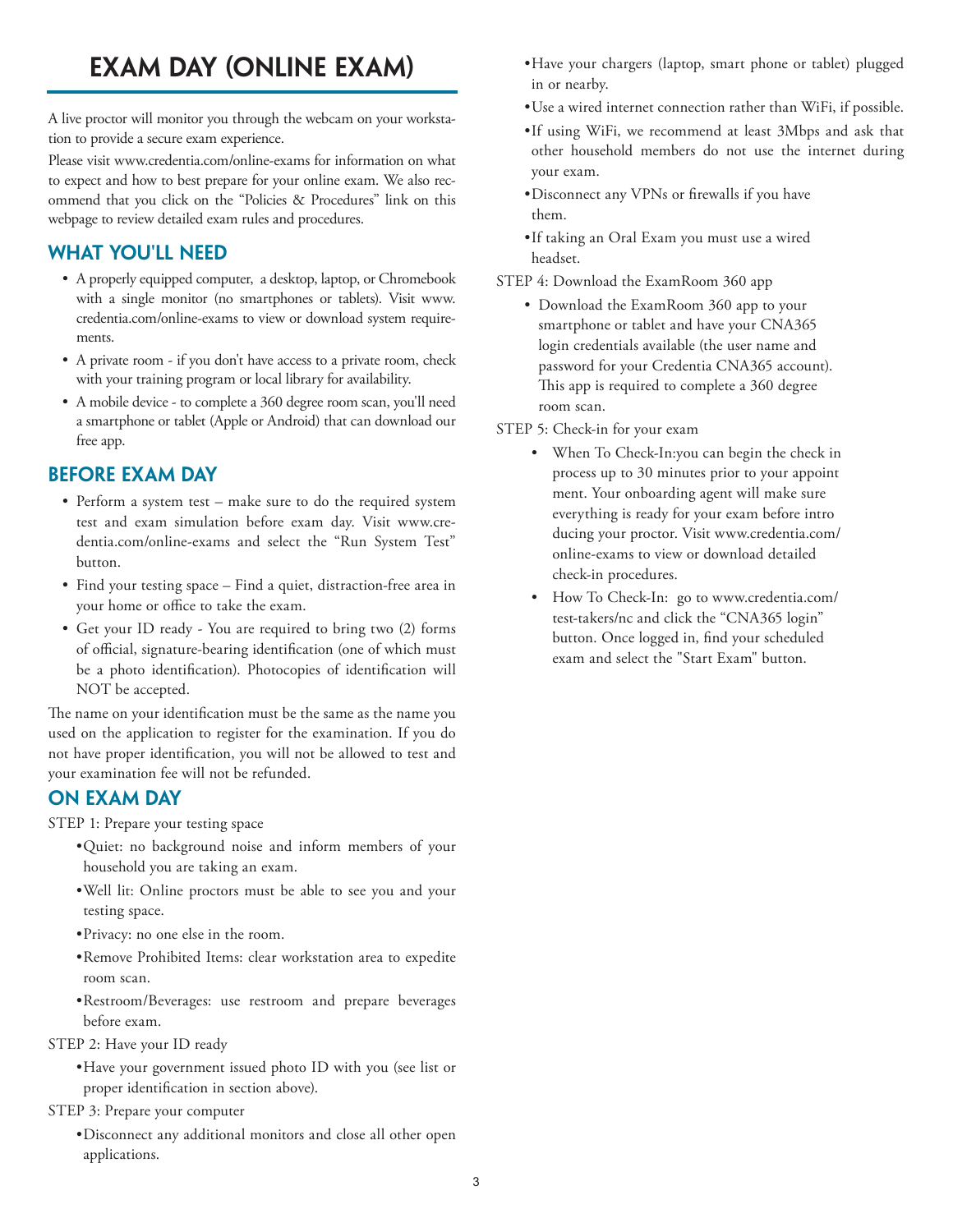# **EXAM DAY (ONLINE EXAM)**

A live proctor will monitor you through the webcam on your workstation to provide a secure exam experience.

Please visit www.credentia.com/online-exams for information on what to expect and how to best prepare for your online exam. We also recommend that you click on the "Policies & Procedures" link on this webpage to review detailed exam rules and procedures.

# **WHAT YOU'LL NEED**

- A properly equipped computer, a desktop, laptop, or Chromebook with a single monitor (no smartphones or tablets). Visit www. credentia.com/online-exams to view or download system requirements.
- A private room if you don't have access to a private room, check with your training program or local library for availability.
- A mobile device to complete a 360 degree room scan, you'll need a smartphone or tablet (Apple or Android) that can download our free app.

# **BEFORE EXAM DAY**

- Perform a system test make sure to do the required system test and exam simulation before exam day. Visit www.credentia.com/online-exams and select the "Run System Test" button.
- Find your testing space Find a quiet, distraction-free area in your home or office to take the exam.
- Get your ID ready You are required to bring two (2) forms of official, signature-bearing identification (one of which must be a photo identification). Photocopies of identification will NOT be accepted.

The name on your identification must be the same as the name you used on the application to register for the examination. If you do not have proper identification, you will not be allowed to test and your examination fee will not be refunded.

# **ON EXAM DAY**

STEP 1: Prepare your testing space

- •Quiet: no background noise and inform members of your household you are taking an exam.
- •Well lit: Online proctors must be able to see you and your testing space.
- •Privacy: no one else in the room.
- •Remove Prohibited Items: clear workstation area to expedite room scan.
- •Restroom/Beverages: use restroom and prepare beverages before exam.
- STEP 2: Have your ID ready
	- •Have your government issued photo ID with you (see list or proper identification in section above).
- STEP 3: Prepare your computer
	- •Disconnect any additional monitors and close all other open applications.
- •Have your chargers (laptop, smart phone or tablet) plugged in or nearby.
- •Use a wired internet connection rather than WiFi, if possible.
- •If using WiFi, we recommend at least 3Mbps and ask that other household members do not use the internet during your exam.
- •Disconnect any VPNs or firewalls if you have them.
- •If taking an Oral Exam you must use a wired headset.
- STEP 4: Download the ExamRoom 360 app
	- Download the ExamRoom 360 app to your smartphone or tablet and have your CNA365 login credentials available (the user name and password for your Credentia CNA365 account). This app is required to complete a 360 degree room scan.

#### STEP 5: Check-in for your exam

- When To Check-In:you can begin the check in process up to 30 minutes prior to your appoint ment. Your onboarding agent will make sure everything is ready for your exam before intro ducing your proctor. Visit www.credentia.com/ online-exams to view or download detailed check-in procedures.
- How To Check-In: go to www.credentia.com/ test-takers/nc and click the "CNA365 login" button. Once logged in, find your scheduled exam and select the "Start Exam" button.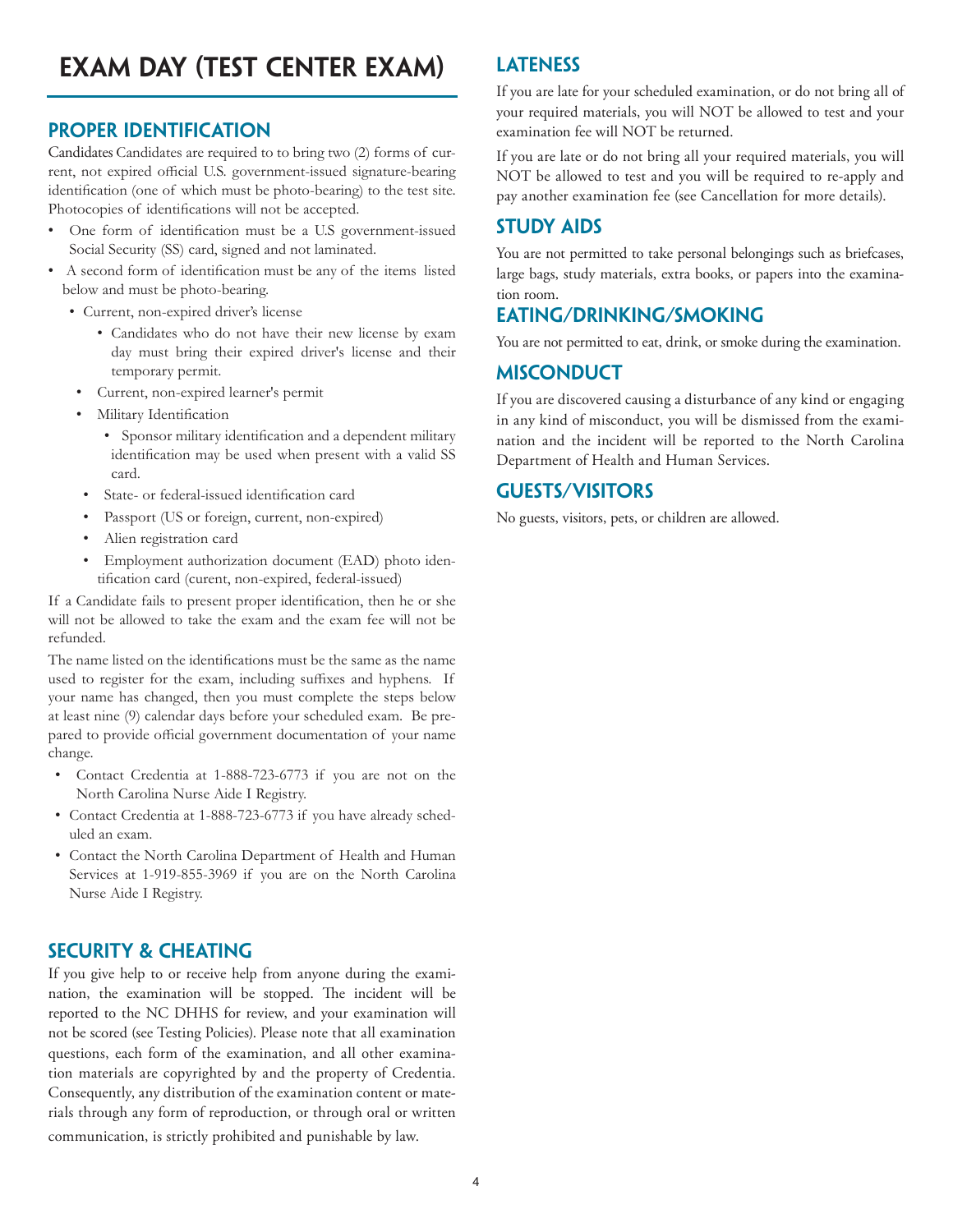# **Proper Identification**

Candidates Candidates are required to to bring two (2) forms of current, not expired official U.S. government-issued signature-bearing identification (one of which must be photo-bearing) to the test site. Photocopies of identifications will not be accepted.

- One form of identification must be a U.S government-issued Social Security (SS) card, signed and not laminated.
- A second form of identification must be any of the items listed below and must be photo-bearing.
	- Current, non-expired driver's license
		- Candidates who do not have their new license by exam day must bring their expired driver's license and their temporary permit.
		- Current, non-expired learner's permit
		- Military Identification
			- Sponsor military identification and a dependent military identification may be used when present with a valid SS card.
		- State- or federal-issued identification card
		- Passport (US or foreign, current, non-expired)
		- Alien registration card
		- Employment authorization document (EAD) photo identification card (curent, non-expired, federal-issued)

If a Candidate fails to present proper identification, then he or she will not be allowed to take the exam and the exam fee will not be refunded.

The name listed on the identifications must be the same as the name used to register for the exam, including suffixes and hyphens. If your name has changed, then you must complete the steps below at least nine (9) calendar days before your scheduled exam. Be prepared to provide official government documentation of your name change.

- Contact Credentia at 1-888-723-6773 if you are not on the North Carolina Nurse Aide I Registry.
- Contact Credentia at 1-888-723-6773 if you have already scheduled an exam.
- Contact the North Carolina Department of Health and Human Services at 1-919-855-3969 if you are on the North Carolina Nurse Aide I Registry.

# **Security & Cheating**

If you give help to or receive help from anyone during the examination, the examination will be stopped. The incident will be reported to the NC DHHS for review, and your examination will not be scored (see Testing Policies). Please note that all examination questions, each form of the examination, and all other examination materials are copyrighted by and the property of Credentia. Consequently, any distribution of the examination content or materials through any form of reproduction, or through oral or written communication, is strictly prohibited and punishable by law.

# **Lateness**

If you are late for your scheduled examination, or do not bring all of your required materials, you will NOT be allowed to test and your examination fee will NOT be returned.

If you are late or do not bring all your required materials, you will NOT be allowed to test and you will be required to re-apply and pay another examination fee (see Cancellation for more details).

# **Study Aids**

You are not permitted to take personal belongings such as briefcases, large bags, study materials, extra books, or papers into the examination room.

# **Eating/Drinking/Smoking**

You are not permitted to eat, drink, or smoke during the examination.

# **Misconduct**

If you are discovered causing a disturbance of any kind or engaging in any kind of misconduct, you will be dismissed from the examination and the incident will be reported to the North Carolina Department of Health and Human Services.

# **Guests/Visitors**

No guests, visitors, pets, or children are allowed.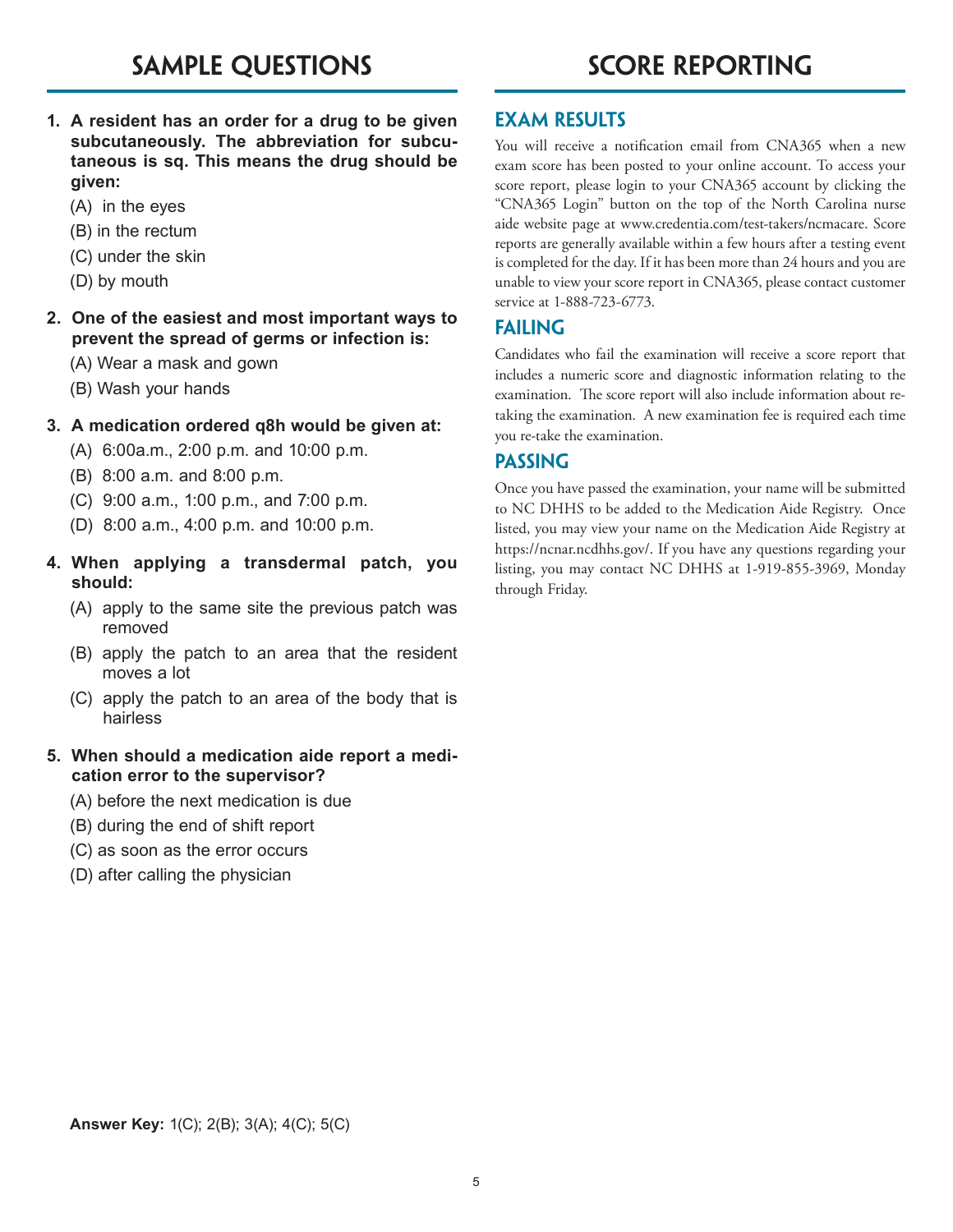- **1. A resident has an order for a drug to be given subcutaneously. The abbreviation for subcutaneous is sq. This means the drug should be given:**
	- (A) in the eyes
	- (B) in the rectum
	- (C) under the skin
	- (D) by mouth
- **2. One of the easiest and most important ways to prevent the spread of germs or infection is:**
	- (A) Wear a mask and gown
	- (B) Wash your hands

#### **3. A medication ordered q8h would be given at:**

- (A) 6:00a.m., 2:00 p.m. and 10:00 p.m.
- (B) 8:00 a.m. and 8:00 p.m.
- (C) 9:00 a.m., 1:00 p.m., and 7:00 p.m.
- (D) 8:00 a.m., 4:00 p.m. and 10:00 p.m.
- **4. When applying a transdermal patch, you should:**
	- (A) apply to the same site the previous patch was removed
	- (B) apply the patch to an area that the resident moves a lot
	- (C) apply the patch to an area of the body that is hairless

#### **5. When should a medication aide report a medication error to the supervisor?**

- (A) before the next medication is due
- (B) during the end of shift report
- (C) as soon as the error occurs
- (D) after calling the physician

# **Exam Results**

You will receive a notification email from CNA365 when a new exam score has been posted to your online account. To access your score report, please login to your CNA365 account by clicking the "CNA365 Login" button on the top of the North Carolina nurse aide website page at www.credentia.com/test-takers/ncmacare. Score reports are generally available within a few hours after a testing event is completed for the day. If it has been more than 24 hours and you are unable to view your score report in CNA365, please contact customer service at 1-888-723-6773.

# **Failing**

Candidates who fail the examination will receive a score report that includes a numeric score and diagnostic information relating to the examination. The score report will also include information about retaking the examination. A new examination fee is required each time you re-take the examination.

# **Passing**

Once you have passed the examination, your name will be submitted to NC DHHS to be added to the Medication Aide Registry. Once listed, you may view your name on the Medication Aide Registry at https://ncnar.ncdhhs.gov/. If you have any questions regarding your listing, you may contact NC DHHS at 1-919-855-3969, Monday through Friday.

**Answer Key:** 1(C); 2(B); 3(A); 4(C); 5(C)